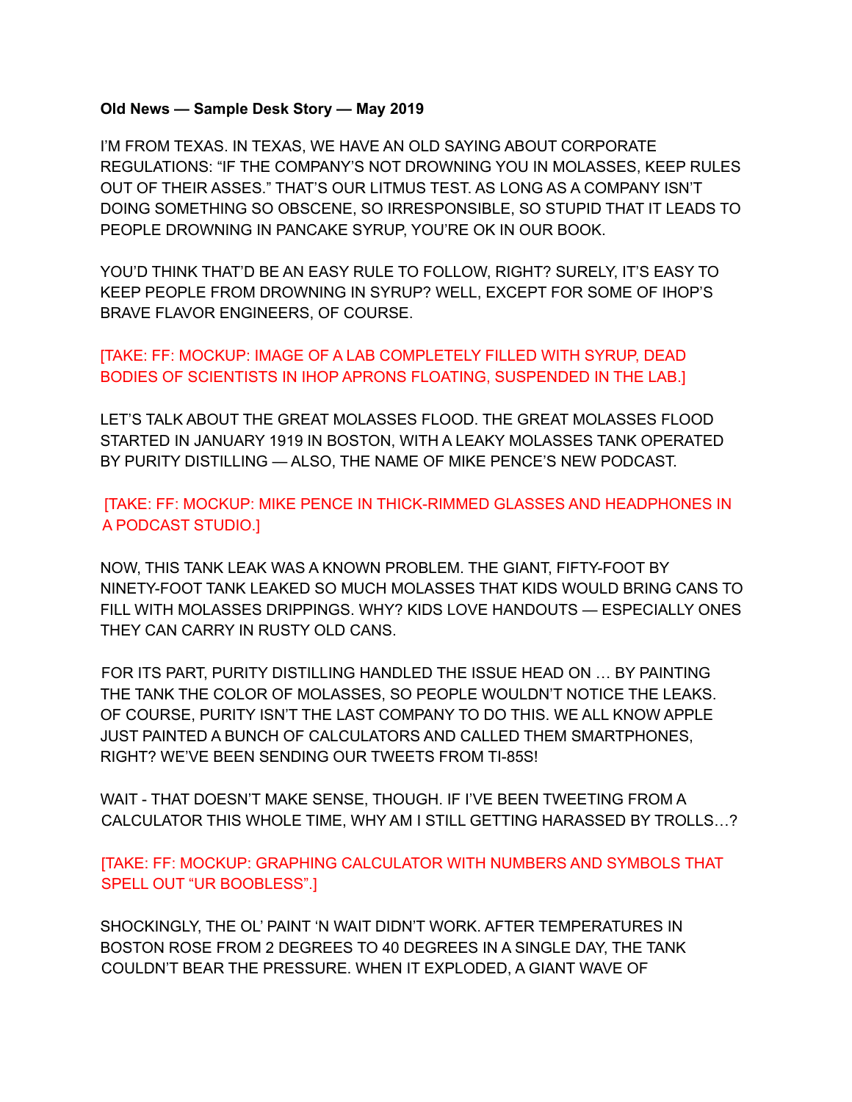## **Old News — Sample Desk Story — May 2019**

I'M FROM TEXAS. IN TEXAS, WE HAVE AN OLD SAYING ABOUT CORPORATE REGULATIONS: "IF THE COMPANY'S NOT DROWNING YOU IN MOLASSES, KEEP RULES OUT OF THEIR ASSES." THAT'S OUR LITMUS TEST. AS LONG AS A COMPANY ISN'T DOING SOMETHING SO OBSCENE, SO IRRESPONSIBLE, SO STUPID THAT IT LEADS TO PEOPLE DROWNING IN PANCAKE SYRUP, YOU'RE OK IN OUR BOOK.

YOU'D THINK THAT'D BE AN EASY RULE TO FOLLOW, RIGHT? SURELY, IT'S EASY TO KEEP PEOPLE FROM DROWNING IN SYRUP? WELL, EXCEPT FOR SOME OF IHOP'S BRAVE FLAVOR ENGINEERS, OF COURSE.

[TAKE: FF: MOCKUP: IMAGE OF A LAB COMPLETELY FILLED WITH SYRUP, DEAD BODIES OF SCIENTISTS IN IHOP APRONS FLOATING, SUSPENDED IN THE LAB.]

LET'S TALK ABOUT THE GREAT MOLASSES FLOOD. THE GREAT MOLASSES FLOOD STARTED IN JANUARY 1919 IN BOSTON, WITH A LEAKY MOLASSES TANK OPERATED BY PURITY DISTILLING — ALSO, THE NAME OF MIKE PENCE'S NEW PODCAST.

[TAKE: FF: MOCKUP: MIKE PENCE IN THICK-RIMMED GLASSES AND HEADPHONES IN A PODCAST STUDIO.]

NOW, THIS TANK LEAK WAS A KNOWN PROBLEM. THE GIANT, FIFTY-FOOT BY NINETY-FOOT TANK LEAKED SO MUCH MOLASSES THAT KIDS WOULD BRING CANS TO FILL WITH MOLASSES DRIPPINGS. WHY? KIDS LOVE HANDOUTS — ESPECIALLY ONES THEY CAN CARRY IN RUSTY OLD CANS.

FOR ITS PART, PURITY DISTILLING HANDLED THE ISSUE HEAD ON … BY PAINTING THE TANK THE COLOR OF MOLASSES, SO PEOPLE WOULDN'T NOTICE THE LEAKS. OF COURSE, PURITY ISN'T THE LAST COMPANY TO DO THIS. WE ALL KNOW APPLE JUST PAINTED A BUNCH OF CALCULATORS AND CALLED THEM SMARTPHONES, RIGHT? WE'VE BEEN SENDING OUR TWEETS FROM TI-85S!

WAIT - THAT DOESN'T MAKE SENSE, THOUGH. IF I'VE BEEN TWEETING FROM A CALCULATOR THIS WHOLE TIME, WHY AM I STILL GETTING HARASSED BY TROLLS…?

[TAKE: FF: MOCKUP: GRAPHING CALCULATOR WITH NUMBERS AND SYMBOLS THAT SPELL OUT "UR BOOBLESS".]

SHOCKINGLY, THE OL' PAINT 'N WAIT DIDN'T WORK. AFTER TEMPERATURES IN BOSTON ROSE FROM 2 DEGREES TO 40 DEGREES IN A SINGLE DAY, THE TANK COULDN'T BEAR THE PRESSURE. WHEN IT EXPLODED, A GIANT WAVE OF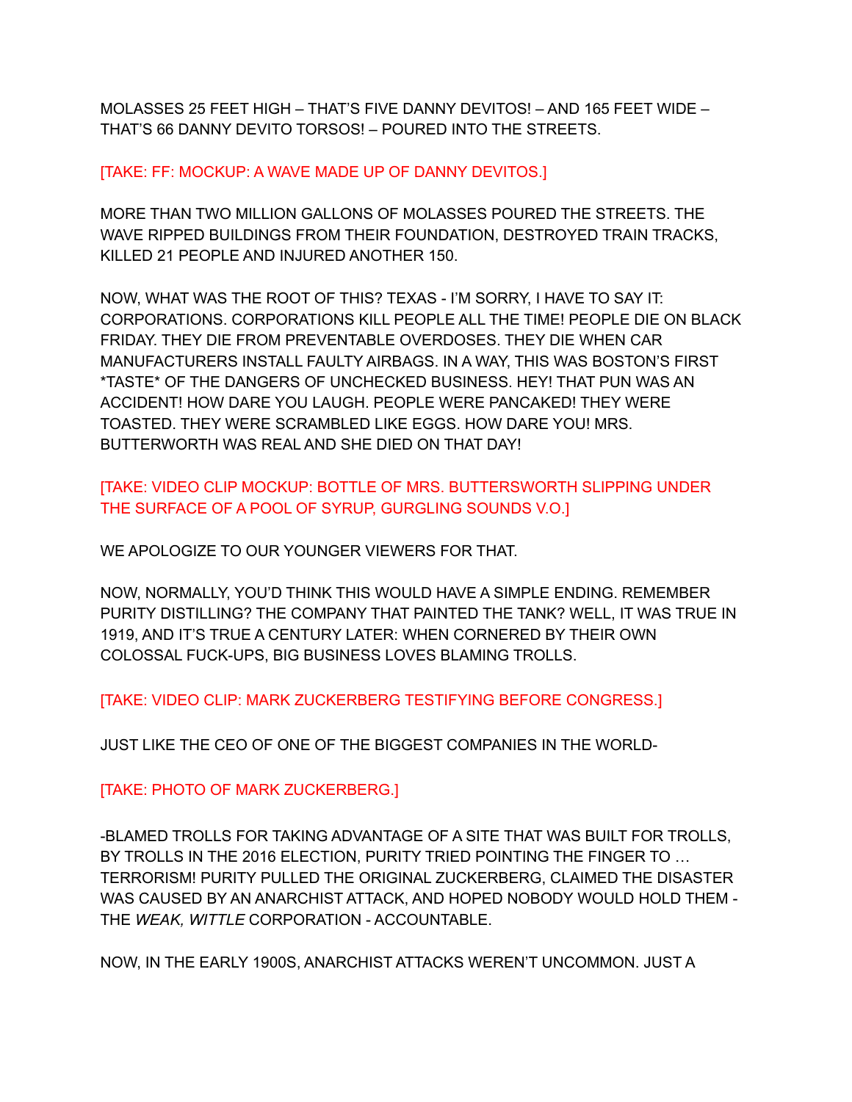MOLASSES 25 FEET HIGH – THAT'S FIVE DANNY DEVITOS! – AND 165 FEET WIDE – THAT'S 66 DANNY DEVITO TORSOS! – POURED INTO THE STREETS.

[TAKE: FF: MOCKUP: A WAVE MADE UP OF DANNY DEVITOS.]

MORE THAN TWO MILLION GALLONS OF MOLASSES POURED THE STREETS. THE WAVE RIPPED BUILDINGS FROM THEIR FOUNDATION, DESTROYED TRAIN TRACKS, KILLED 21 PEOPLE AND INJURED ANOTHER 150.

NOW, WHAT WAS THE ROOT OF THIS? TEXAS - I'M SORRY, I HAVE TO SAY IT: CORPORATIONS. CORPORATIONS KILL PEOPLE ALL THE TIME! PEOPLE DIE ON BLACK FRIDAY. THEY DIE FROM PREVENTABLE OVERDOSES. THEY DIE WHEN CAR MANUFACTURERS INSTALL FAULTY AIRBAGS. IN A WAY, THIS WAS BOSTON'S FIRST \*TASTE\* OF THE DANGERS OF UNCHECKED BUSINESS. HEY! THAT PUN WAS AN ACCIDENT! HOW DARE YOU LAUGH. PEOPLE WERE PANCAKED! THEY WERE TOASTED. THEY WERE SCRAMBLED LIKE EGGS. HOW DARE YOU! MRS. BUTTERWORTH WAS REAL AND SHE DIED ON THAT DAY!

[TAKE: VIDEO CLIP MOCKUP: BOTTLE OF MRS. BUTTERSWORTH SLIPPING UNDER THE SURFACE OF A POOL OF SYRUP, GURGLING SOUNDS V.O.]

WE APOLOGIZE TO OUR YOUNGER VIEWERS FOR THAT.

NOW, NORMALLY, YOU'D THINK THIS WOULD HAVE A SIMPLE ENDING. REMEMBER PURITY DISTILLING? THE COMPANY THAT PAINTED THE TANK? WELL, IT WAS TRUE IN 1919, AND IT'S TRUE A CENTURY LATER: WHEN CORNERED BY THEIR OWN COLOSSAL FUCK-UPS, BIG BUSINESS LOVES BLAMING TROLLS.

[TAKE: VIDEO CLIP: MARK ZUCKERBERG TESTIFYING BEFORE CONGRESS.]

JUST LIKE THE CEO OF ONE OF THE BIGGEST COMPANIES IN THE WORLD-

[TAKE: PHOTO OF MARK ZUCKERBERG.]

-BLAMED TROLLS FOR TAKING ADVANTAGE OF A SITE THAT WAS BUILT FOR TROLLS, BY TROLLS IN THE 2016 ELECTION, PURITY TRIED POINTING THE FINGER TO … TERRORISM! PURITY PULLED THE ORIGINAL ZUCKERBERG, CLAIMED THE DISASTER WAS CAUSED BY AN ANARCHIST ATTACK, AND HOPED NOBODY WOULD HOLD THEM - THE *WEAK, WITTLE* CORPORATION - ACCOUNTABLE.

NOW, IN THE EARLY 1900S, ANARCHIST ATTACKS WEREN'T UNCOMMON. JUST A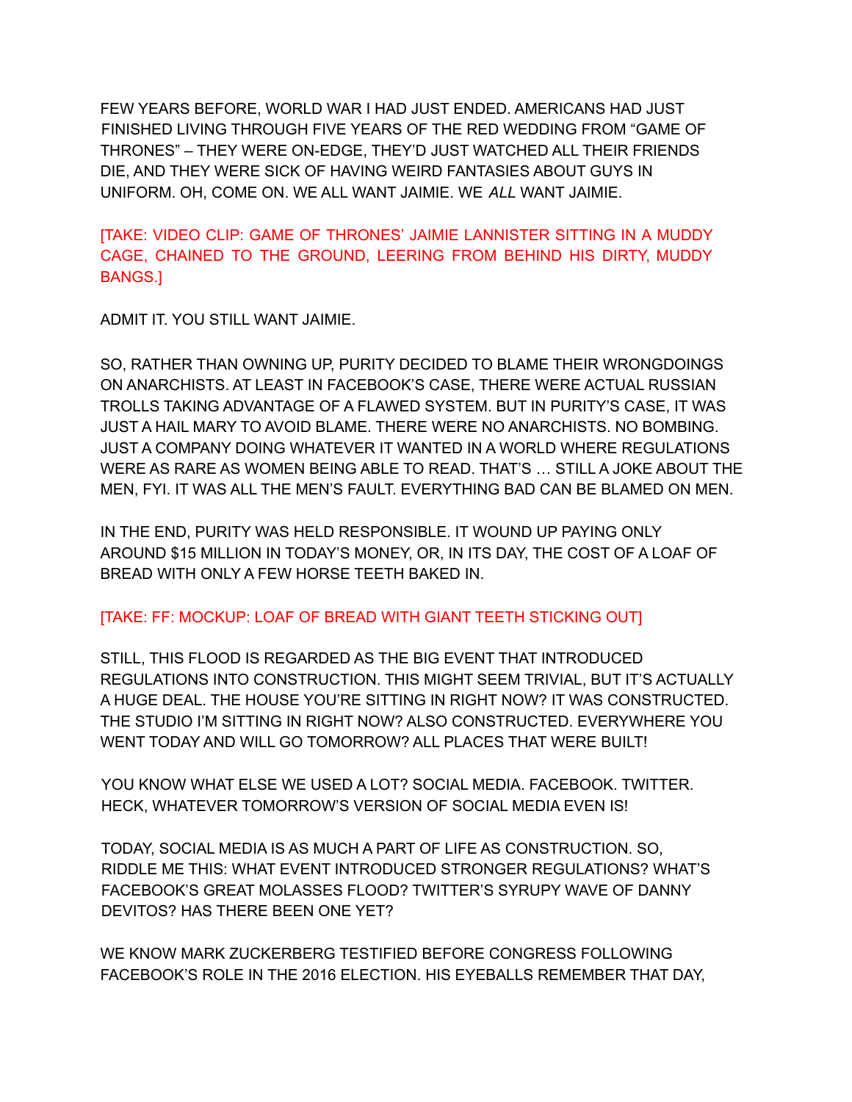FEW YEARS BEFORE, WORLD WAR I HAD JUST ENDED. AMERICANS HAD JUST FINISHED LIVING THROUGH FIVE YEARS OF THE RED WEDDING FROM "GAME OF THRONES" – THEY WERE ON-EDGE, THEY'D JUST WATCHED ALL THEIR FRIENDS DIE, AND THEY WERE SICK OF HAVING WEIRD FANTASIES ABOUT GUYS IN UNIFORM. OH, COME ON. WE ALL WANT JAIMIE. WE *ALL* WANT JAIMIE.

[TAKE: VIDEO CLIP: GAME OF THRONES' JAIMIE LANNISTER SITTING IN A MUDDY CAGE, CHAINED TO THE GROUND, LEERING FROM BEHIND HIS DIRTY, MUDDY BANGS.]

ADMIT IT. YOU STILL WANT JAIMIE.

SO, RATHER THAN OWNING UP, PURITY DECIDED TO BLAME THEIR WRONGDOINGS ON ANARCHISTS. AT LEAST IN FACEBOOK'S CASE, THERE WERE ACTUAL RUSSIAN TROLLS TAKING ADVANTAGE OF A FLAWED SYSTEM. BUT IN PURITY'S CASE, IT WAS JUST A HAIL MARY TO AVOID BLAME. THERE WERE NO ANARCHISTS. NO BOMBING. JUST A COMPANY DOING WHATEVER IT WANTED IN A WORLD WHERE REGULATIONS WERE AS RARE AS WOMEN BEING ABLE TO READ. THAT'S … STILL A JOKE ABOUT THE MEN, FYI. IT WAS ALL THE MEN'S FAULT. EVERYTHING BAD CAN BE BLAMED ON MEN.

IN THE END, PURITY WAS HELD RESPONSIBLE. IT WOUND UP PAYING ONLY AROUND \$15 MILLION IN TODAY'S MONEY, OR, IN ITS DAY, THE COST OF A LOAF OF BREAD WITH ONLY A FEW HORSE TEETH BAKED IN.

## [TAKE: FF: MOCKUP: LOAF OF BREAD WITH GIANT TEETH STICKING OUT]

STILL, THIS FLOOD IS REGARDED AS THE BIG EVENT THAT INTRODUCED REGULATIONS INTO CONSTRUCTION. THIS MIGHT SEEM TRIVIAL, BUT IT'S ACTUALLY A HUGE DEAL. THE HOUSE YOU'RE SITTING IN RIGHT NOW? IT WAS CONSTRUCTED. THE STUDIO I'M SITTING IN RIGHT NOW? ALSO CONSTRUCTED. EVERYWHERE YOU WENT TODAY AND WILL GO TOMORROW? ALL PLACES THAT WERE BUILT!

YOU KNOW WHAT ELSE WE USED A LOT? SOCIAL MEDIA. FACEBOOK. TWITTER. HECK, WHATEVER TOMORROW'S VERSION OF SOCIAL MEDIA EVEN IS!

TODAY, SOCIAL MEDIA IS AS MUCH A PART OF LIFE AS CONSTRUCTION. SO, RIDDLE ME THIS: WHAT EVENT INTRODUCED STRONGER REGULATIONS? WHAT'S FACEBOOK'S GREAT MOLASSES FLOOD? TWITTER'S SYRUPY WAVE OF DANNY DEVITOS? HAS THERE BEEN ONE YET?

WE KNOW MARK ZUCKERBERG TESTIFIED BEFORE CONGRESS FOLLOWING FACEBOOK'S ROLE IN THE 2016 ELECTION. HIS EYEBALLS REMEMBER THAT DAY,